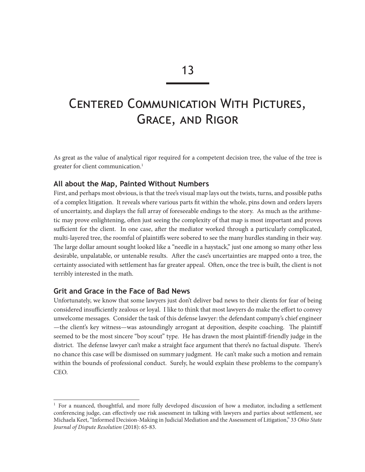# Centered Communication With Pictures, Grace, and Rigor

As great as the value of analytical rigor required for a competent decision tree, the value of the tree is greater for client communication.<sup>1</sup>

## **All about the Map, Painted Without Numbers**

First, and perhaps most obvious, is that the tree's visual map lays out the twists, turns, and possible paths of a complex litigation. It reveals where various parts fit within the whole, pins down and orders layers of uncertainty, and displays the full array of foreseeable endings to the story. As much as the arithmetic may prove enlightening, often just seeing the complexity of that map is most important and proves sufficient for the client. In one case, after the mediator worked through a particularly complicated, multi-layered tree, the roomful of plaintiffs were sobered to see the many hurdles standing in their way. The large dollar amount sought looked like a "needle in a haystack," just one among so many other less desirable, unpalatable, or untenable results. After the case's uncertainties are mapped onto a tree, the certainty associated with settlement has far greater appeal. Often, once the tree is built, the client is not terribly interested in the math.

## **Grit and Grace in the Face of Bad News**

Unfortunately, we know that some lawyers just don't deliver bad news to their clients for fear of being considered insufficiently zealous or loyal. I like to think that most lawyers do make the effort to convey unwelcome messages. Consider the task of this defense lawyer: the defendant company's chief engineer —the client's key witness—was astoundingly arrogant at deposition, despite coaching. The plaintiff seemed to be the most sincere "boy scout" type. He has drawn the most plaintiff-friendly judge in the district. The defense lawyer can't make a straight face argument that there's no factual dispute. There's no chance this case will be dismissed on summary judgment. He can't make such a motion and remain within the bounds of professional conduct. Surely, he would explain these problems to the company's CEO.

 $1$  For a nuanced, thoughtful, and more fully developed discussion of how a mediator, including a settlement conferencing judge, can effectively use risk assessment in talking with lawyers and parties about settlement, see Michaela Keet, "Informed Decision-Making in Judicial Mediation and the Assessment of Litigation," 33 *Ohio State Journal of Dispute Resolution* (2018): 65-83.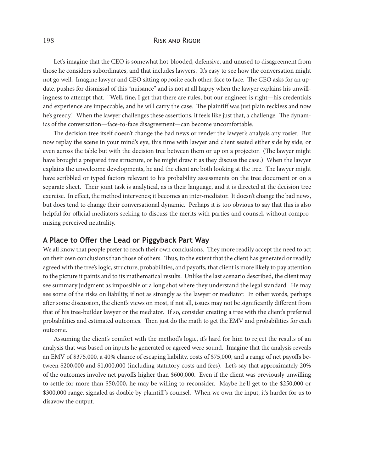#### 198 Risk and Rigor

Let's imagine that the CEO is somewhat hot-blooded, defensive, and unused to disagreement from those he considers subordinates, and that includes lawyers. It's easy to see how the conversation might not go well. Imagine lawyer and CEO sitting opposite each other, face to face. The CEO asks for an update, pushes for dismissal of this "nuisance" and is not at all happy when the lawyer explains his unwillingness to attempt that. "Well, fine, I get that there are rules, but our engineer is right—his credentials and experience are impeccable, and he will carry the case. The plaintiff was just plain reckless and now he's greedy." When the lawyer challenges these assertions, it feels like just that, a challenge. The dynamics of the conversation—face-to-face disagreement—can become uncomfortable.

The decision tree itself doesn't change the bad news or render the lawyer's analysis any rosier. But now replay the scene in your mind's eye, this time with lawyer and client seated either side by side, or even across the table but with the decision tree between them or up on a projector. (The lawyer might have brought a prepared tree structure, or he might draw it as they discuss the case.) When the lawyer explains the unwelcome developments, he and the client are both looking at the tree. The lawyer might have scribbled or typed factors relevant to his probability assessments on the tree document or on a separate sheet. Their joint task is analytical, as is their language, and it is directed at the decision tree exercise. In effect, the method intervenes; it becomes an inter-mediator. It doesn't change the bad news, but does tend to change their conversational dynamic. Perhaps it is too obvious to say that this is also helpful for official mediators seeking to discuss the merits with parties and counsel, without compromising perceived neutrality.

## **A Place to Offer the Lead or Piggyback Part Way**

We all know that people prefer to reach their own conclusions. They more readily accept the need to act on their own conclusions than those of others. Thus, to the extent that the client has generated or readily agreed with the tree's logic, structure, probabilities, and payoffs, that client is more likely to pay attention to the picture it paints and to its mathematical results. Unlike the last scenario described, the client may see summary judgment as impossible or a long shot where they understand the legal standard. He may see some of the risks on liability, if not as strongly as the lawyer or mediator. In other words, perhaps after some discussion, the client's views on most, if not all, issues may not be significantly different from that of his tree-builder lawyer or the mediator. If so, consider creating a tree with the client's preferred probabilities and estimated outcomes. Then just do the math to get the EMV and probabilities for each outcome.

Assuming the client's comfort with the method's logic, it's hard for him to reject the results of an analysis that was based on inputs he generated or agreed were sound. Imagine that the analysis reveals an EMV of \$375,000, a 40% chance of escaping liability, costs of \$75,000, and a range of net payoffs between \$200,000 and \$1,000,000 (including statutory costs and fees). Let's say that approximately 20% of the outcomes involve net payoffs higher than \$600,000. Even if the client was previously unwilling to settle for more than \$50,000, he may be willing to reconsider. Maybe he'll get to the \$250,000 or \$300,000 range, signaled as doable by plaintiff's counsel. When we own the input, it's harder for us to disavow the output.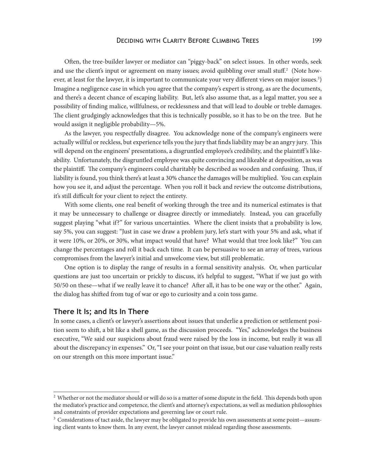Often, the tree-builder lawyer or mediator can "piggy-back" on select issues. In other words, seek and use the client's input or agreement on many issues; avoid quibbling over small stuff.<sup>2</sup> (Note however, at least for the lawyer, it is important to communicate your very different views on major issues.<sup>3</sup>) Imagine a negligence case in which you agree that the company's expert is strong, as are the documents, and there's a decent chance of escaping liability. But, let's also assume that, as a legal matter, you see a possibility of finding malice, willfulness, or recklessness and that will lead to double or treble damages. The client grudgingly acknowledges that this is technically possible, so it has to be on the tree. But he would assign it negligible probability—5%.

As the lawyer, you respectfully disagree. You acknowledge none of the company's engineers were actually willful or reckless, but experience tells you the jury that finds liability may be an angry jury. This will depend on the engineers' presentations, a disgruntled employee's credibility, and the plaintiff 's likeability. Unfortunately, the disgruntled employee was quite convincing and likeable at deposition, as was the plaintiff. The company's engineers could charitably be described as wooden and confusing. Thus, if liability is found, you think there's at least a 30% chance the damages will be multiplied. You can explain how you see it, and adjust the percentage. When you roll it back and review the outcome distributions, it's still difficult for your client to reject the entirety.

With some clients, one real benefit of working through the tree and its numerical estimates is that it may be unnecessary to challenge or disagree directly or immediately. Instead, you can gracefully suggest playing "what if?" for various uncertainties. Where the client insists that a probability is low, say 5%, you can suggest: "Just in case we draw a problem jury, let's start with your 5% and ask, what if it were 10%, or 20%, or 30%, what impact would that have? What would that tree look like?" You can change the percentages and roll it back each time. It can be persuasive to see an array of trees, various compromises from the lawyer's initial and unwelcome view, but still problematic.

One option is to display the range of results in a formal sensitivity analysis. Or, when particular questions are just too uncertain or prickly to discuss, it's helpful to suggest, "What if we just go with 50/50 on these—what if we really leave it to chance? After all, it has to be one way or the other." Again, the dialog has shifted from tug of war or ego to curiosity and a coin toss game.

#### **There It Is; and Its In There**

In some cases, a client's or lawyer's assertions about issues that underlie a prediction or settlement position seem to shift, a bit like a shell game, as the discussion proceeds. "Yes," acknowledges the business executive, "We said our suspicions about fraud were raised by the loss in income, but really it was all about the discrepancy in expenses." Or, "I see your point on that issue, but our case valuation really rests on our strength on this more important issue."

<sup>&</sup>lt;sup>2</sup> Whether or not the mediator should or will do so is a matter of some dispute in the field. This depends both upon the mediator's practice and competence, the client's and attorney's expectations, as well as mediation philosophies and constraints of provider expectations and governing law or court rule.

 $3$  Considerations of tact aside, the lawyer may be obligated to provide his own assessments at some point—assuming client wants to know them. In any event, the lawyer cannot mislead regarding those assessments.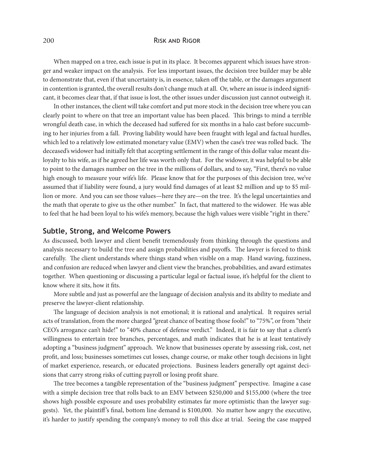#### 200 RISK AND RIGOR

When mapped on a tree, each issue is put in its place. It becomes apparent which issues have stronger and weaker impact on the analysis. For less important issues, the decision tree builder may be able to demonstrate that, even if that uncertainty is, in essence, taken off the table, or the damages argument in contention is granted, the overall results don't change much at all. Or, where an issue is indeed significant, it becomes clear that, if that issue is lost, the other issues under discussion just cannot outweigh it.

In other instances, the client will take comfort and put more stock in the decision tree where you can clearly point to where on that tree an important value has been placed. This brings to mind a terrible wrongful death case, in which the deceased had suffered for six months in a halo cast before succumbing to her injuries from a fall. Proving liability would have been fraught with legal and factual hurdles, which led to a relatively low estimated monetary value (EMV) when the case's tree was rolled back. The deceased's widower had initially felt that accepting settlement in the range of this dollar value meant disloyalty to his wife, as if he agreed her life was worth only that. For the widower, it was helpful to be able to point to the damages number on the tree in the millions of dollars, and to say, "First, there's no value high enough to measure your wife's life. Please know that for the purposes of this decision tree, we've assumed that if liability were found, a jury would find damages of at least \$2 million and up to \$5 million or more. And you can see those values—here they are—on the tree. It's the legal uncertainties and the math that operate to give us the other number." In fact, that mattered to the widower. He was able to feel that he had been loyal to his wife's memory, because the high values were visible "right in there."

#### **Subtle, Strong, and Welcome Powers**

As discussed, both lawyer and client benefit tremendously from thinking through the questions and analysis necessary to build the tree and assign probabilities and payoffs. The lawyer is forced to think carefully. The client understands where things stand when visible on a map. Hand waving, fuzziness, and confusion are reduced when lawyer and client view the branches, probabilities, and award estimates together. When questioning or discussing a particular legal or factual issue, it's helpful for the client to know where it sits, how it fits.

More subtle and just as powerful are the language of decision analysis and its ability to mediate and preserve the lawyer-client relationship.

The language of decision analysis is not emotional; it is rational and analytical. It requires serial acts of translation, from the more charged "great chance of beating those fools!" to "75%", or from "their CEO's arrogance can't hide!" to "40% chance of defense verdict." Indeed, it is fair to say that a client's willingness to entertain tree branches, percentages, and math indicates that he is at least tentatively adopting a "business judgment" approach. We know that businesses operate by assessing risk, cost, net profit, and loss; businesses sometimes cut losses, change course, or make other tough decisions in light of market experience, research, or educated projections. Business leaders generally opt against decisions that carry strong risks of cutting payroll or losing profit share.

The tree becomes a tangible representation of the "business judgment" perspective. Imagine a case with a simple decision tree that rolls back to an EMV between \$250,000 and \$155,000 (where the tree shows high possible exposure and uses probability estimates far more optimistic than the lawyer suggests). Yet, the plaintiff 's final, bottom line demand is \$100,000. No matter how angry the executive, it's harder to justify spending the company's money to roll this dice at trial. Seeing the case mapped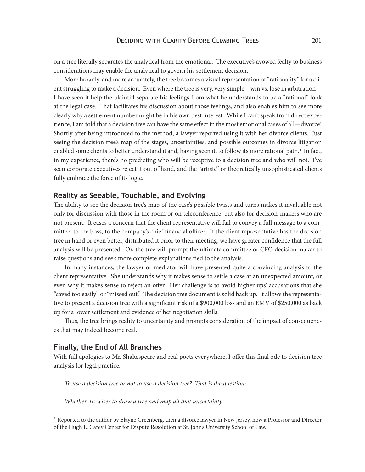on a tree literally separates the analytical from the emotional. The executive's avowed fealty to business considerations may enable the analytical to govern his settlement decision.

More broadly, and more accurately, the tree becomes a visual representation of "rationality" for a client struggling to make a decision. Even where the tree is very, very simple—win vs. lose in arbitration— I have seen it help the plaintiff separate his feelings from what he understands to be a "rational" look at the legal case. That facilitates his discussion about those feelings, and also enables him to see more clearly why a settlement number might be in his own best interest. While I can't speak from direct experience, I am told that a decision tree can have the same effect in the most emotional cases of all—divorce! Shortly after being introduced to the method, a lawyer reported using it with her divorce clients. Just seeing the decision tree's map of the stages, uncertainties, and possible outcomes in divorce litigation enabled some clients to better understand it and, having seen it, to follow its more rational path.<sup>4</sup> In fact, in my experience, there's no predicting who will be receptive to a decision tree and who will not. I've seen corporate executives reject it out of hand, and the "artiste" or theoretically unsophisticated clients fully embrace the force of its logic.

#### **Reality as Seeable, Touchable, and Evolving**

The ability to see the decision tree's map of the case's possible twists and turns makes it invaluable not only for discussion with those in the room or on teleconference, but also for decision-makers who are not present. It eases a concern that the client representative will fail to convey a full message to a committee, to the boss, to the company's chief financial officer. If the client representative has the decision tree in hand or even better, distributed it prior to their meeting, we have greater confidence that the full analysis will be presented. Or, the tree will prompt the ultimate committee or CFO decision maker to raise questions and seek more complete explanations tied to the analysis.

In many instances, the lawyer or mediator will have presented quite a convincing analysis to the client representative. She understands why it makes sense to settle a case at an unexpected amount, or even why it makes sense to reject an offer. Her challenge is to avoid higher ups' accusations that she "caved too easily" or "missed out." The decision tree document is solid back up. It allows the representative to present a decision tree with a significant risk of a \$900,000 loss and an EMV of \$250,000 as back up for a lower settlement and evidence of her negotiation skills.

Thus, the tree brings reality to uncertainty and prompts consideration of the impact of consequences that may indeed become real.

#### **Finally, the End of All Branches**

With full apologies to Mr. Shakespeare and real poets everywhere, I offer this final ode to decision tree analysis for legal practice.

*To use a decision tree or not to use a decision tree? That is the question:*

*Whether 'tis wiser to draw a tree and map all that uncertainty*

<sup>4</sup> Reported to the author by Elayne Greenberg, then a divorce lawyer in New Jersey, now a Professor and Director of the Hugh L. Carey Center for Dispute Resolution at St. John's University School of Law.